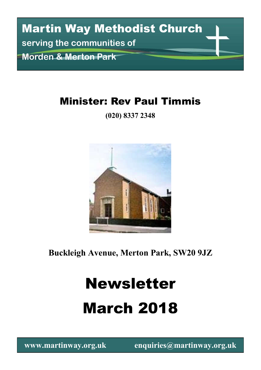# Martin Way Methodist Church **serving the communities of Morden & Merton Park**

### Minister: Rev Paul Timmis

**(020) 8337 2348**



**Buckleigh Avenue, Merton Park, SW20 9JZ**

# Newsletter March 2018

**www.martinway.org.uk enquiries@martinway.org.uk**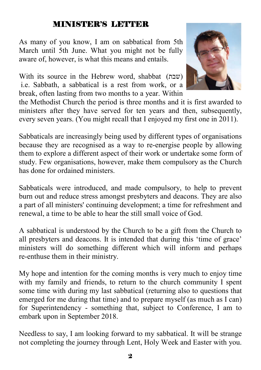#### MINISTER'S LETTER

As many of you know, I am on sabbatical from 5th March until 5th June. What you might not be fully aware of, however, is what this means and entails.

With its source in the Hebrew word, shabbat  $(w_1, w_2)$ i.e. Sabbath, a sabbatical is a rest from work, or a break, often lasting from two months to a year. Within



the Methodist Church the period is three months and it is first awarded to ministers after they have served for ten years and then, subsequently, every seven years. (You might recall that I enjoyed my first one in 2011).

Sabbaticals are increasingly being used by different types of organisations because they are recognised as a way to re-energise people by allowing them to explore a different aspect of their work or undertake some form of study. Few organisations, however, make them compulsory as the Church has done for ordained ministers.

Sabbaticals were introduced, and made compulsory, to help to prevent burn out and reduce stress amongst presbyters and deacons. They are also a part of all ministers' continuing development; a time for refreshment and renewal, a time to be able to hear the still small voice of God.

A sabbatical is understood by the Church to be a gift from the Church to all presbyters and deacons. It is intended that during this 'time of grace' ministers will do something different which will inform and perhaps re-enthuse them in their ministry.

My hope and intention for the coming months is very much to enjoy time with my family and friends, to return to the church community I spent some time with during my last sabbatical (returning also to questions that emerged for me during that time) and to prepare myself (as much as I can) for Superintendency - something that, subject to Conference, I am to embark upon in September 2018.

Needless to say, I am looking forward to my sabbatical. It will be strange not completing the journey through Lent, Holy Week and Easter with you.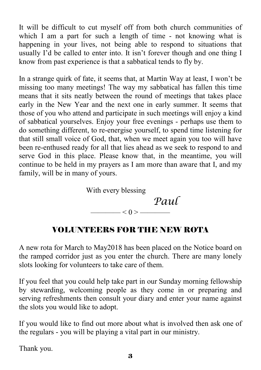It will be difficult to cut myself off from both church communities of which I am a part for such a length of time - not knowing what is happening in your lives, not being able to respond to situations that usually I'd be called to enter into. It isn't forever though and one thing I know from past experience is that a sabbatical tends to fly by.

In a strange quirk of fate, it seems that, at Martin Way at least, I won't be missing too many meetings! The way my sabbatical has fallen this time means that it sits neatly between the round of meetings that takes place early in the New Year and the next one in early summer. It seems that those of you who attend and participate in such meetings will enjoy a kind of sabbatical yourselves. Enjoy your free evenings - perhaps use them to do something different, to re-energise yourself, to spend time listening for that still small voice of God, that, when we meet again you too will have been re-enthused ready for all that lies ahead as we seek to respond to and serve God in this place. Please know that, in the meantime, you will continue to be held in my prayers as I am more than aware that I, and my family, will be in many of yours.



#### VOLUNTEERS FOR THE NEW ROTA

A new rota for March to May2018 has been placed on the Notice board on the ramped corridor just as you enter the church. There are many lonely slots looking for volunteers to take care of them.

If you feel that you could help take part in our Sunday morning fellowship by stewarding, welcoming people as they come in or preparing and serving refreshments then consult your diary and enter your name against the slots you would like to adopt.

If you would like to find out more about what is involved then ask one of the regulars - you will be playing a vital part in our ministry.

Thank you.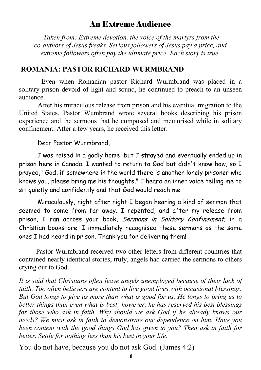#### An Extreme Audience

 *Taken from: Extreme devotion, the voice of the martyrs from the co-authors of Jesus freaks. Serious followers of Jesus pay a price, and extreme followers often pay the ultimate price. Each story is true.*

#### **ROMANIA: PASTOR RICHARD WURMBRAND**

Even when Romanian pastor Richard Wurmbrand was placed in a solitary prison devoid of light and sound, he continued to preach to an unseen audience.

 After his miraculous release from prison and his eventual migration to the United States, Pastor Wumbrand wrote several books describing his prison experience and the sermons that he composed and memorised while in solitary confinement. After a few years, he received this letter:

#### Dear Pastor Wurmbrand,

 I was raised in a godly home, but I strayed and eventually ended up in prison here in Canada. I wanted to return to God but didn't know how, so I prayed, "God, if somewhere in the world there is another lonely prisoner who knows you, please bring me his thoughts," I heard an inner voice telling me to sit quietly and confidently and that God would reach me.

 Miraculously, night after night I began hearing a kind of sermon that seemed to come from far away. I repented, and after my release from prison, I ran across your book, Sermons in Solitary Confinement, in a Christian bookstore. I immediately recognised these sermons as the same ones I had heard in prison. Thank you for delivering them!

 Pastor Wurmbrand received two other letters from different countries that contained nearly identical stories, truly, angels had carried the sermons to others crying out to God.

*It is said that Christians often leave angels unemployed because of their lack of faith. Too often believers are content to live good lives with occasional blessings. But God longs to give us more than what is good for us. He longs to bring us to better things than even what is best; however, he has reserved his best blessings for those who ask in faith. Why should we ask God if he already knows our needs? We must ask in faith to demonstrate our dependence on him. Have you been content with the good things God has given to you? Then ask in faith for better. Settle for nothing less than his best in your life.*

You do not have, because you do not ask God. (James 4:2)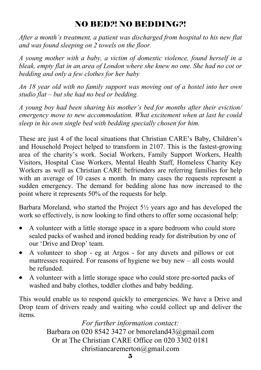#### NO BED?! NO BEDDING?!

*After a month's treatment, a patient was discharged from hospital to his new flat and was found sleeping on 2 towels on the floor.*

*A young mother with a baby, a victim of domestic violence, found herself in a bleak, empty flat in an area of London where she knew no one. She had no cot or bedding and only a few clothes for her baby*

*An 18 year old with no family support was moving out of a hostel into her own studio flat – but she had no bed or bedding.*

*A young boy had been sharing his mother's bed for months after their eviction/ emergency move to new accommodation. What excitement when at last he could sleep in his own single bed with bedding specially chosen for him.*

These are just 4 of the local situations that Christian CARE's Baby, Children's and Household Project helped to transform in 2107. This is the fastest-growing area of the charity's work. Social Workers, Family Support Workers, Health Visitors, Hospital Case Workers, Mental Health Staff, Homeless Charity Key Workers as well as Christian CARE befrienders are referring families for help with an average of 10 cases a month. In many cases the requests represent a sudden emergency. The demand for bedding alone has now increased to the point where it represents 50% of the requests for help.

Barbara Moreland, who started the Project  $5\frac{1}{2}$  years ago and has developed the work so effectively, is now looking to find others to offer some occasional help:

- A volunteer with a little storage space in a spare bedroom who could store sealed packs of washed and ironed bedding ready for distribution by one of our 'Drive and Drop' team.
- A volunteer to shop eg at Argos for any duvets and pillows or cot mattresses required. For reasons of hygiene we buy new – all costs would be refunded.
- A volunteer with a little storage space who could store pre-sorted packs of washed and baby clothes, toddler clothes and baby bedding.

This would enable us to respond quickly to emergencies. We have a Drive and Drop team of drivers ready and waiting who could collect up and deliver the items.

> *For further information contact:*  Barbara on 020 8542 3427 or bmoreland43@gmail.com Or at The Christian CARE Office on 020 3302 0181 christiancaremerton@gmail.com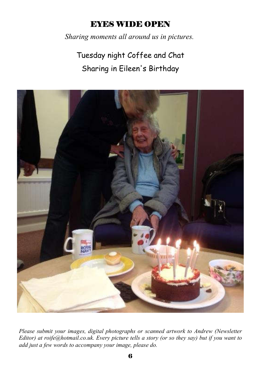#### EYES WIDE OPEN

*Sharing moments all around us in pictures.*

Tuesday night Coffee and Chat Sharing in Eileen's Birthday



*Please submit your images, digital photographs or scanned artwork to Andrew (Newsletter Editor) at roife@hotmail.co.uk. Every picture tells a story (or so they say) but if you want to add just a few words to accompany your image, please do.*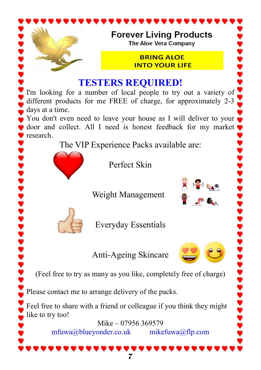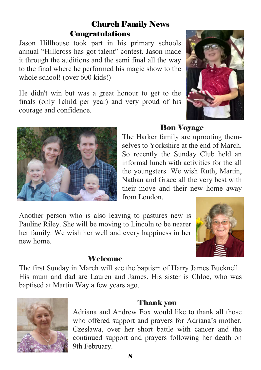#### Church Family News Congratulations

Jason Hillhouse took part in his primary schools annual "Hillcross has got talent" contest. Jason made it through the auditions and the semi final all the way to the final where he performed his magic show to the whole school! (over 600 kids!)

He didn't win but was a great honour to get to the finals (only 1child per year) and very proud of his courage and confidence.



#### Bon Voyage

The Harker family are uprooting themselves to Yorkshire at the end of March. So recently the Sunday Club held an informal lunch with activities for the all the youngsters. We wish Ruth, Martin, Nathan and Grace all the very best with their move and their new home away from London.

Another person who is also leaving to pastures new is Pauline Riley. She will be moving to Lincoln to be nearer her family. We wish her well and every happiness in her new home.



#### **Welcome**

The first Sunday in March will see the baptism of Harry James Bucknell. His mum and dad are Lauren and James. His sister is Chloe, who was baptised at Martin Way a few years ago.



#### Thank you

Adriana and Andrew Fox would like to thank all those who offered support and prayers for Adriana's mother, Czesława, over her short battle with cancer and the continued support and prayers following her death on 9th February.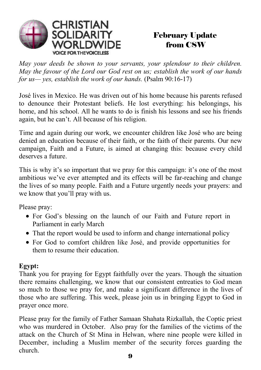

#### February Update from CSW

*May your deeds be shown to your servants, your splendour to their children. May the favour of the Lord our God rest on us; establish the work of our hands for us— yes, establish the work of our hands.* (Psalm 90:16-17)

José lives in Mexico. He was driven out of his home because his parents refused to denounce their Protestant beliefs. He lost everything: his belongings, his home, and his school. All he wants to do is finish his lessons and see his friends again, but he can't. All because of his religion.

Time and again during our work, we encounter children like José who are being denied an education because of their faith, or the faith of their parents. Our new campaign, Faith and a Future, is aimed at changing this: because every child deserves a future.

This is why it's so important that we pray for this campaign: it's one of the most ambitious we've ever attempted and its effects will be far-reaching and change the lives of so many people. Faith and a Future urgently needs your prayers: and we know that you'll pray with us.

Please pray:

- For God's blessing on the launch of our Faith and Future report in Parliament in early March
- That the report would be used to inform and change international policy
- For God to comfort children like José, and provide opportunities for them to resume their education.

#### **Egypt:**

Thank you for praying for Egypt faithfully over the years. Though the situation there remains challenging, we know that our consistent entreaties to God mean so much to those we pray for, and make a significant difference in the lives of those who are suffering. This week, please join us in bringing Egypt to God in prayer once more.

Please pray for the family of Father Samaan Shahata Rizkallah, the Coptic priest who was murdered in October. Also pray for the families of the victims of the attack on the Church of St Mina in Helwan, where nine people were killed in December, including a Muslim member of the security forces guarding the church.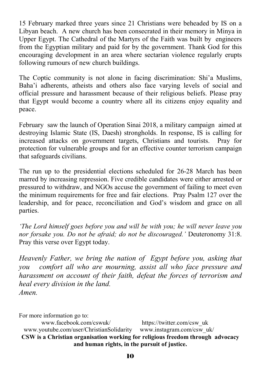15 February marked three years since 21 Christians were beheaded by IS on a Libyan beach. A new church has been consecrated in their memory in Minya in Upper Egypt. The Cathedral of the Martyrs of the Faith was built by engineers from the Egyptian military and paid for by the government. Thank God for this encouraging development in an area where sectarian violence regularly erupts following rumours of new church buildings.

The Coptic community is not alone in facing discrimination: Shi'a Muslims, Baha'i adherents, atheists and others also face varying levels of social and official pressure and harassment because of their religious beliefs. Please pray that Egypt would become a country where all its citizens enjoy equality and peace.

February saw the launch of Operation Sinai 2018, a military campaign aimed at destroying Islamic State (IS, Daesh) strongholds. In response, IS is calling for increased attacks on government targets, Christians and tourists. Pray for protection for vulnerable groups and for an effective counter terrorism campaign that safeguards civilians.

The run up to the presidential elections scheduled for 26-28 March has been marred by increasing repression. Five credible candidates were either arrested or pressured to withdraw, and NGOs accuse the government of failing to meet even the minimum requirements for free and fair elections. Pray Psalm 127 over the leadership, and for peace, reconciliation and God's wisdom and grace on all parties.

*'The Lord himself goes before you and will be with you; he will never leave you nor forsake you. Do not be afraid; do not be discouraged.'* Deuteronomy 31:8. Pray this verse over Egypt today.

*Heavenly Father, we bring the nation of Egypt before you, asking that you comfort all who are mourning, assist all who face pressure and harassment on account of their faith, defeat the forces of terrorism and heal every division in the land. Amen.*

For more information go to:

www.facebook.com/cswuk/ https://twitter.com/csw\_uk www.youtube.com/user/ChristianSolidarity www.instagram.com/csw\_uk/ **CSW is a Christian organisation working for religious freedom through advocacy and human rights, in the pursuit of justice.**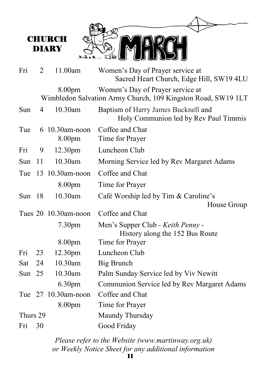

8.00pm Women's Day of Prayer service at Wimbledon Salvation Army Church, 109 Kingston Road, SW19 1LT

| Sun      | $\overline{4}$ | 10.30am                  | Baptism of Harry James Bucknell and<br>Holy Communion led by Rev Paul Timmis |
|----------|----------------|--------------------------|------------------------------------------------------------------------------|
| Tue      |                | 6 10.30am-noon<br>8.00pm | Coffee and Chat<br>Time for Prayer                                           |
| Fri      | 9              | 12.30pm                  | Luncheon Club                                                                |
| Sun      | 11             | 10.30am                  | Morning Service led by Rev Margaret Adams                                    |
| Tue      |                | 13 10.30am-noon          | Coffee and Chat                                                              |
|          |                | 8.00pm                   | Time for Prayer                                                              |
| Sun $18$ |                | 10.30am                  | Café Worship led by Tim & Caroline's<br>House Group                          |
|          |                | Tues 20 10.30am-noon     | Coffee and Chat                                                              |
|          |                | 7.30 <sub>pm</sub>       | Men's Supper Club - Keith Penny -<br>History along the 152 Bus Route         |
|          |                | 8.00pm                   | Time for Prayer                                                              |
| Fri      | 23             | 12.30 <sub>pm</sub>      | Luncheon Club                                                                |
| Sat      | 24             | 10.30am                  | Big Brunch                                                                   |
| Sun $25$ |                | 10.30am                  | Palm Sunday Service led by Viv Newitt                                        |
|          |                | 6.30pm                   | Communion Service led by Rev Margaret Adams                                  |
|          |                | Tue 27 10.30am-noon      | Coffee and Chat                                                              |
|          |                | 8.00pm                   | Time for Prayer                                                              |
| Thurs 29 |                |                          | Maundy Thursday                                                              |
| Fri      | 30             |                          | Good Friday                                                                  |

*Please refer to the Website (www.martinway.org.uk) or Weekly Notice Sheet for any additional information*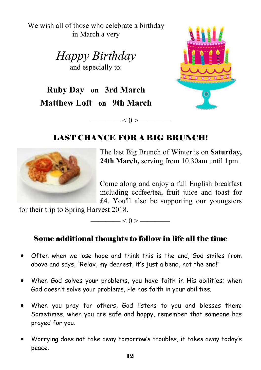We wish all of those who celebrate a birthday in March a very

> *Happy Birthday*  and especially to:

**Ruby Day on 3rd March Matthew Loft on 9th March**



#### LAST CHANCE FOR A BIG BRUNCH!

 $\longrightarrow$  < 0 >  $\longrightarrow$ 



The last Big Brunch of Winter is on **Saturday, 24th March,** serving from 10.30am until 1pm.

Come along and enjoy a full English breakfast including coffee/tea, fruit juice and toast for £4. You'll also be supporting our youngsters

for their trip to Spring Harvest 2018.

Some additional thoughts to follow in life all the time

 $\leq 0$  >  $\leq$ 

- Often when we lose hope and think this is the end, God smiles from above and says, "Relax, my dearest, it's just a bend, not the end!"
- When God solves your problems, you have faith in His abilities; when God doesn't solve your problems, He has faith in your abilities.
- When you pray for others, God listens to you and blesses them; Sometimes, when you are safe and happy, remember that someone has prayed for you.
- Worrying does not take away tomorrow's troubles, it takes away today's peace.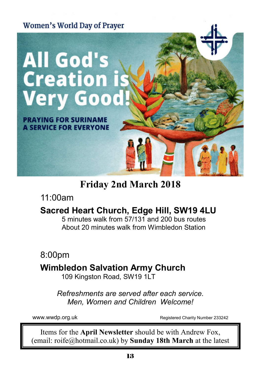

**Friday 2nd March 2018**

11:00am

#### **Sacred Heart Church, Edge Hill, SW19 4LU**

5 minutes walk from 57/131 and 200 bus routes About 20 minutes walk from Wimbledon Station

8:00pm

#### **Wimbledon Salvation Army Church**

109 Kingston Road, SW19 1LT

*Refreshments are served after each service. Men, Women and Children Welcome!*

www.wwdp.org.uk and the Registered Charity Number 233242

Items for the **April Newsletter** should be with Andrew Fox, (email: roife@hotmail.co.uk) by **Sunday 18th March** at the latest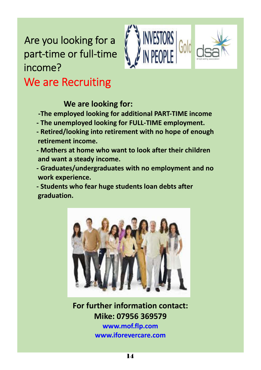## Are you looking for a part-time or full-time income? We are Recruiting



**We are looking for:**

**-The employed looking for additional PART-TIME income**

- **The unemployed looking for FULL-TIME employment.**
- **Retired/looking into retirement with no hope of enough retirement income.**
- **Mothers at home who want to look after their children and want a steady income.**
- **Graduates/undergraduates with no employment and no work experience.**

**- Students who fear huge students loan debts after graduation.**



**For further information contact: Mike: 07956 369579 www.mof.flp.com**

**www.iforevercare.com**